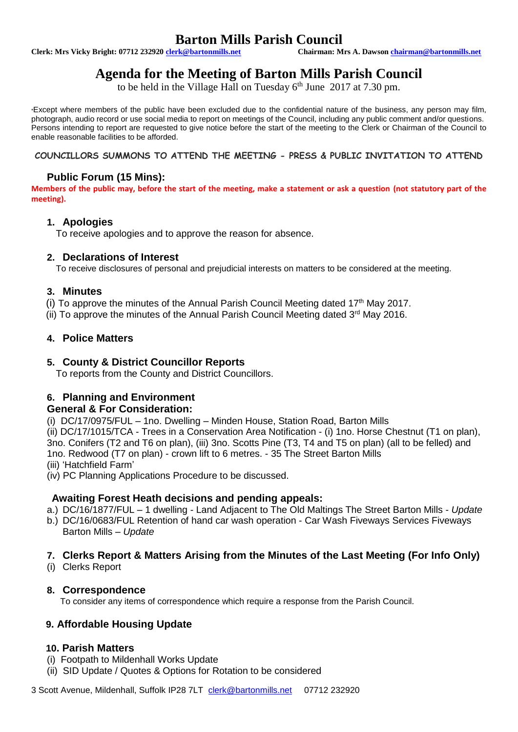# **Barton Mills Parish Council**<br>
Chairman: Mrs A. Dawson chairman@bartonmills.net

**Clerk: Mrs Vicky Bright: 07712 23292[0 clerk@bartonmills.net](mailto:clerk@bartonmills.net) Chairman: Mrs A. Dawson [chairman@bartonmills.net](mailto:chairman@bartonmills.net)**

# **Agenda for the Meeting of Barton Mills Parish Council**

to be held in the Village Hall on Tuesday  $6<sup>th</sup>$  June 2017 at 7.30 pm.

\*Except where members of the public have been excluded due to the confidential nature of the business, any person may film, photograph, audio record or use social media to report on meetings of the Council, including any public comment and/or questions. Persons intending to report are requested to give notice before the start of the meeting to the Clerk or Chairman of the Council to enable reasonable facilities to be afforded.

**COUNCILLORS SUMMONS TO ATTEND THE MEETING - PRESS & PUBLIC INVITATION TO ATTEND**

## **Public Forum (15 Mins):**

**Members of the public may, before the start of the meeting, make a statement or ask a question (not statutory part of the meeting).**

#### **1. Apologies**

To receive apologies and to approve the reason for absence.

#### **2. Declarations of Interest**

To receive disclosures of personal and prejudicial interests on matters to be considered at the meeting.

#### **3. Minutes**

(i) To approve the minutes of the Annual Parish Council Meeting dated  $17<sup>th</sup>$  May 2017.

(ii) To approve the minutes of the Annual Parish Council Meeting dated  $3<sup>rd</sup>$  May 2016.

#### **4. Police Matters**

### **5. County & District Councillor Reports**

To reports from the County and District Councillors.

# **6. Planning and Environment**

### **General & For Consideration:**

(i) DC/17/0975/FUL – 1no. Dwelling – Minden House, Station Road, Barton Mills

(ii) DC/17/1015/TCA - Trees in a Conservation Area Notification - (i) 1no. Horse Chestnut (T1 on plan), 3no. Conifers (T2 and T6 on plan), (iii) 3no. Scotts Pine (T3, T4 and T5 on plan) (all to be felled) and 1no. Redwood (T7 on plan) - crown lift to 6 metres. - 35 The Street Barton Mills

(iii) 'Hatchfield Farm'

(iv) PC Planning Applications Procedure to be discussed.

### **Awaiting Forest Heath decisions and pending appeals:**

a.) DC/16/1877/FUL – 1 dwelling - Land Adjacent to The Old Maltings The Street Barton Mills - *Update*

b.) DC/16/0683/FUL Retention of hand car wash operation - Car Wash Fiveways Services Fiveways Barton Mills – *Update*

### **7. Clerks Report & Matters Arising from the Minutes of the Last Meeting (For Info Only)**

(i) Clerks Report

#### **8. Correspondence**

To consider any items of correspondence which require a response from the Parish Council.

### **9. Affordable Housing Update**

### **10. Parish Matters**

- (i) Footpath to Mildenhall Works Update
- (ii) SID Update / Quotes & Options for Rotation to be considered